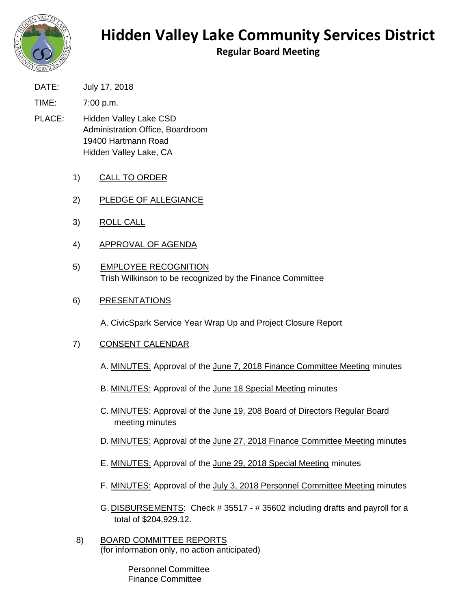

## **Hidden Valley Lake Community Services District**

**Regular Board Meeting**

DATE: July 17, 2018

TIME: 7:00 p.m.

- PLACE: Hidden Valley Lake CSD Administration Office, Boardroom 19400 Hartmann Road Hidden Valley Lake, CA
	- 1) CALL TO ORDER
	- 2) PLEDGE OF ALLEGIANCE
	- 3) ROLL CALL
	- 4) APPROVAL OF AGENDA
	- 5) EMPLOYEE RECOGNITION Trish Wilkinson to be recognized by the Finance Committee

## 6) PRESENTATIONS

A. CivicSpark Service Year Wrap Up and Project Closure Report

- 7) CONSENT CALENDAR
	- A. MINUTES: Approval of the June 7, 2018 Finance Committee Meeting minutes
	- B. MINUTES: Approval of the June 18 Special Meeting minutes
	- C. MINUTES: Approval of the June 19, 208 Board of Directors Regular Board meeting minutes
	- D. MINUTES: Approval of the June 27, 2018 Finance Committee Meeting minutes
	- E. MINUTES: Approval of the June 29, 2018 Special Meeting minutes
	- F. MINUTES: Approval of the July 3, 2018 Personnel Committee Meeting minutes
	- G. DISBURSEMENTS: Check # 35517 # 35602 including drafts and payroll for a total of \$204,929.12.
- 8) BOARD COMMITTEE REPORTS (for information only, no action anticipated)

Personnel Committee Finance Committee